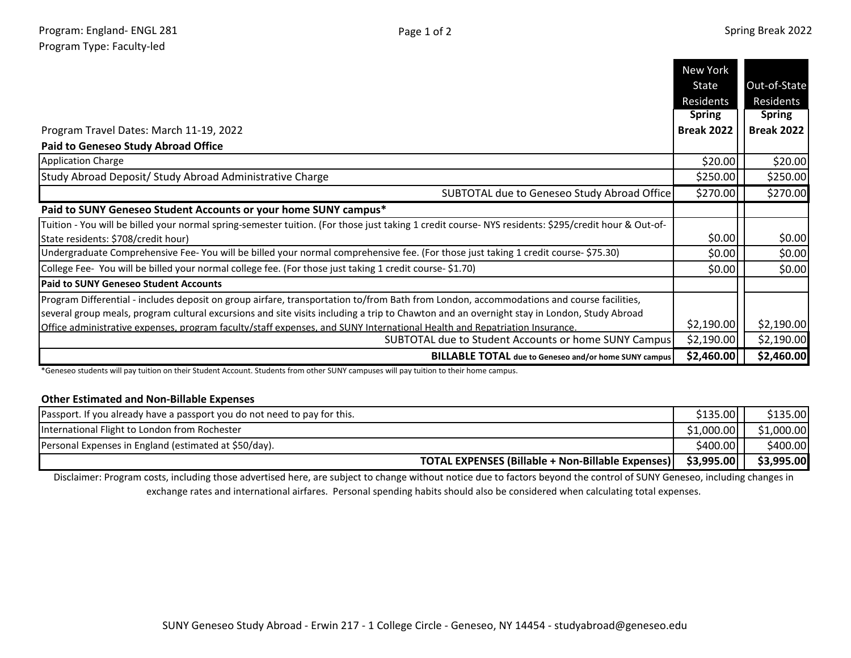|                                                                                                                                                      | New York          |                   |
|------------------------------------------------------------------------------------------------------------------------------------------------------|-------------------|-------------------|
|                                                                                                                                                      | State             | Out-of-State      |
|                                                                                                                                                      | Residents         | Residents         |
|                                                                                                                                                      | <b>Spring</b>     | <b>Spring</b>     |
| Program Travel Dates: March 11-19, 2022                                                                                                              | <b>Break 2022</b> | <b>Break 2022</b> |
| <b>Paid to Geneseo Study Abroad Office</b>                                                                                                           |                   |                   |
| <b>Application Charge</b>                                                                                                                            | \$20.00           | \$20.00           |
| Study Abroad Deposit/ Study Abroad Administrative Charge                                                                                             | \$250.00          | \$250.00          |
| SUBTOTAL due to Geneseo Study Abroad Office                                                                                                          | \$270.00          | \$270.00          |
| Paid to SUNY Geneseo Student Accounts or your home SUNY campus*                                                                                      |                   |                   |
| Tuition - You will be billed your normal spring-semester tuition. (For those just taking 1 credit course- NYS residents: \$295/credit hour & Out-of- |                   |                   |
| State residents: \$708/credit hour)                                                                                                                  | \$0.00            | \$0.00            |
| Undergraduate Comprehensive Fee-You will be billed your normal comprehensive fee. (For those just taking 1 credit course- \$75.30)                   | \$0.00            | \$0.00            |
| College Fee- You will be billed your normal college fee. (For those just taking 1 credit course- \$1.70)                                             | \$0.00            | \$0.00            |
| <b>Paid to SUNY Geneseo Student Accounts</b>                                                                                                         |                   |                   |
| Program Differential - includes deposit on group airfare, transportation to/from Bath from London, accommodations and course facilities,             |                   |                   |
| several group meals, program cultural excursions and site visits including a trip to Chawton and an overnight stay in London, Study Abroad           |                   |                   |
| Office administrative expenses, program faculty/staff expenses, and SUNY International Health and Repatriation Insurance.                            | \$2,190.00        | \$2,190.00        |
| SUBTOTAL due to Student Accounts or home SUNY Campus                                                                                                 | \$2,190.00        | \$2,190.00        |
| <b>BILLABLE TOTAL</b> due to Geneseo and/or home SUNY campus                                                                                         | \$2,460.00        | \$2,460.00        |

\*Geneseo students will pay tuition on their Student Account. Students from other SUNY campuses will pay tuition to their home campus.

## **Other Estimated and Non-Billable Expenses**

| Passport. If you already have a passport you do not need to pay for this. | \$135.00   | \$135.00   |
|---------------------------------------------------------------------------|------------|------------|
| International Flight to London from Rochester                             | \$1,000.00 | \$1,000.00 |
| Personal Expenses in England (estimated at \$50/day).                     | \$400.00   | \$400.00   |
| TOTAL EXPENSES (Billable + Non-Billable Expenses)                         | \$3,995.00 | \$3,995.00 |

Disclaimer: Program costs, including those advertised here, are subject to change without notice due to factors beyond the control of SUNY Geneseo, including changes in exchange rates and international airfares. Personal spending habits should also be considered when calculating total expenses.